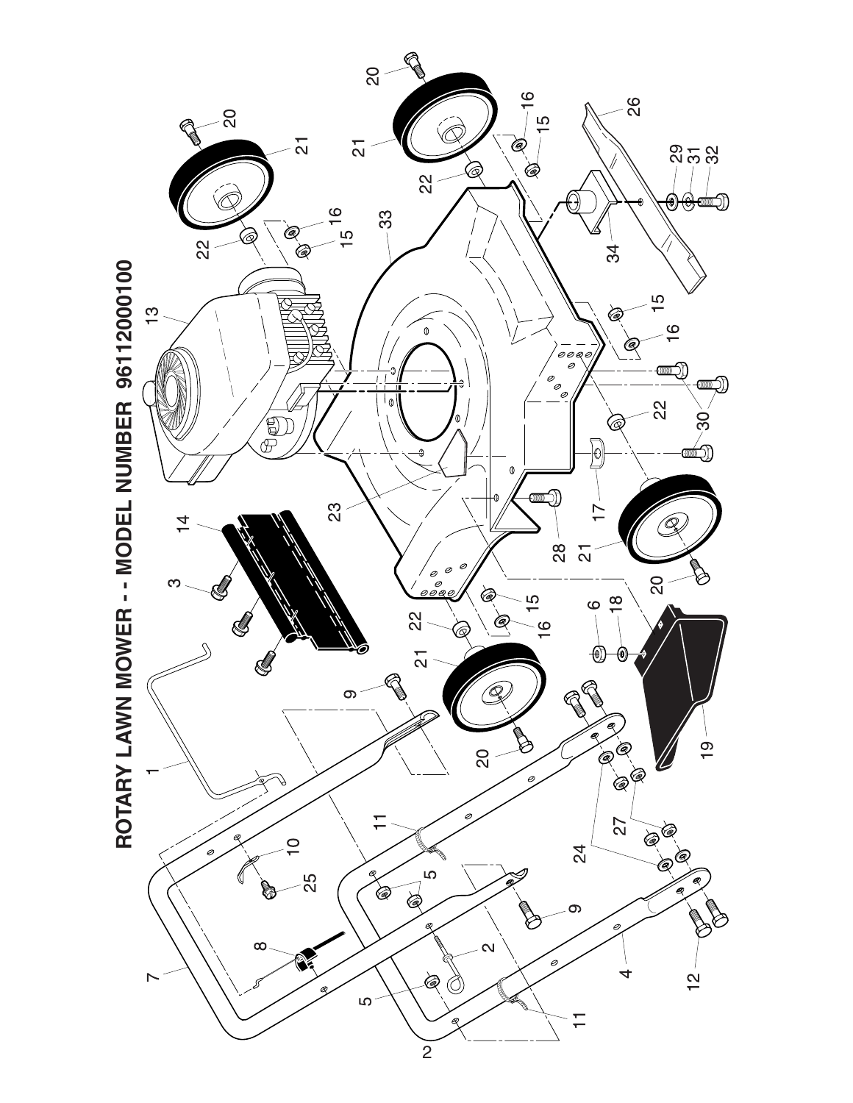